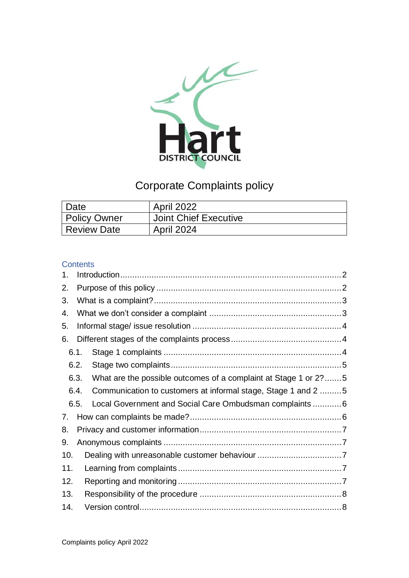

# Corporate Complaints policy

| Date         | <b>April 2022</b>     |
|--------------|-----------------------|
| Policy Owner | Joint Chief Executive |
| Review Date  | <b>April 2024</b>     |

#### **Contents**

| 1.  |                                                                         |  |  |  |  |  |
|-----|-------------------------------------------------------------------------|--|--|--|--|--|
| 2.  |                                                                         |  |  |  |  |  |
| 3.  |                                                                         |  |  |  |  |  |
| 4.  |                                                                         |  |  |  |  |  |
| 5.  |                                                                         |  |  |  |  |  |
| 6.  |                                                                         |  |  |  |  |  |
|     | 6.1.                                                                    |  |  |  |  |  |
|     | 6.2.                                                                    |  |  |  |  |  |
|     | 6.3.<br>What are the possible outcomes of a complaint at Stage 1 or 2?5 |  |  |  |  |  |
|     | Communication to customers at informal stage, Stage 1 and 2 5<br>6.4.   |  |  |  |  |  |
|     | Local Government and Social Care Ombudsman complaints  6<br>6.5.        |  |  |  |  |  |
| 7.  |                                                                         |  |  |  |  |  |
| 8.  |                                                                         |  |  |  |  |  |
| 9.  |                                                                         |  |  |  |  |  |
| 10. |                                                                         |  |  |  |  |  |
| 11. |                                                                         |  |  |  |  |  |
| 12. |                                                                         |  |  |  |  |  |
| 13. |                                                                         |  |  |  |  |  |
| 14. |                                                                         |  |  |  |  |  |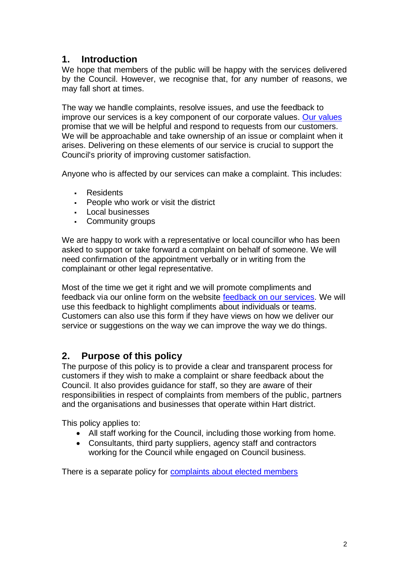# <span id="page-1-0"></span>**1. Introduction**

We hope that members of the public will be happy with the services delivered by the Council. However, we recognise that, for any number of reasons, we may fall short at times.

The way we handle complaints, resolve issues, and use the feedback to improve our services is a key component of our corporate values. [Our values](https://www.hart.gov.uk/our-vision-values) promise that we will be helpful and respond to requests from our customers. We will be approachable and take ownership of an issue or complaint when it arises. Delivering on these elements of our service is crucial to support the Council's priority of improving customer satisfaction.

Anyone who is affected by our services can make a complaint. This includes:

- **Residents**
- People who work or visit the district
- Local businesses
- Community groups

We are happy to work with a representative or local councillor who has been asked to support or take forward a complaint on behalf of someone. We will need confirmation of the appointment verbally or in writing from the complainant or other legal representative.

Most of the time we get it right and we will promote compliments and feedback via our online form on the website [feedback on our services.](https://www.hart.gov.uk/hart-district-council-customer-feedback-form) We will use this feedback to highlight compliments about individuals or teams. Customers can also use this form if they have views on how we deliver our service or suggestions on the way we can improve the way we do things.

# <span id="page-1-1"></span>**2. Purpose of this policy**

The purpose of this policy is to provide a clear and transparent process for customers if they wish to make a complaint or share feedback about the Council. It also provides guidance for staff, so they are aware of their responsibilities in respect of complaints from members of the public, partners and the organisations and businesses that operate within Hart district.

This policy applies to:

- All staff working for the Council, including those working from home.
- Consultants, third party suppliers, agency staff and contractors working for the Council while engaged on Council business.

There is a separate policy for [complaints about elected members](https://www.hart.gov.uk/help-advice-1)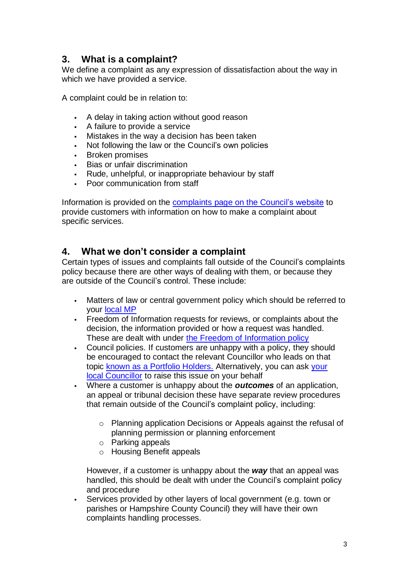# <span id="page-2-0"></span>**3. What is a complaint?**

We define a complaint as any expression of dissatisfaction about the way in which we have provided a service.

A complaint could be in relation to:

- A delay in taking action without good reason
- A failure to provide a service
- Mistakes in the way a decision has been taken
- Not following the law or the Council's own policies
- **Broken promises**
- Bias or unfair discrimination
- Rude, unhelpful, or inappropriate behaviour by staff
- Poor communication from staff

Information is provided on the complaints page [on the Council's website](https://www.hart.gov.uk/feedback) to provide customers with information on how to make a complaint about specific services.

### <span id="page-2-1"></span>**4. What we don't consider a complaint**

Certain types of issues and complaints fall outside of the Council's complaints policy because there are other ways of dealing with them, or because they are outside of the Council's control. These include:

- Matters of law or central government policy which should be referred to your [local MP](https://www.hart.gov.uk/elected-representatives)
- Freedom of Information requests for reviews, or complaints about the decision, the information provided or how a request was handled. These are dealt with under [the Freedom of Information policy](https://www.hart.gov.uk/freedom-information)
- Council policies. If customers are unhappy with a policy, they should be encouraged to contact the relevant Councillor who leads on that topic [known as a Portfolio Holders.](https://www.hart.gov.uk/the-council/news/new-chairman-and-cabinet-portfolios-hart-district-council) Alternatively, you can ask [your](https://hart.moderngov.co.uk/mgMemberIndex.aspx?bcr=1)  [local Councillor](https://hart.moderngov.co.uk/mgMemberIndex.aspx?bcr=1) to raise this issue on your behalf
- Where a customer is unhappy about the *outcomes* of an application, an appeal or tribunal decision these have separate review procedures that remain outside of the Council's complaint policy, including:
	- o Planning application Decisions or Appeals against the refusal of planning permission or planning enforcement
	- o Parking appeals
	- o Housing Benefit appeals

However, if a customer is unhappy about the *way* that an appeal was handled, this should be dealt with under the Council's complaint policy and procedure

Services provided by other layers of local government (e.g. town or parishes or Hampshire County Council) they will have their own complaints handling processes.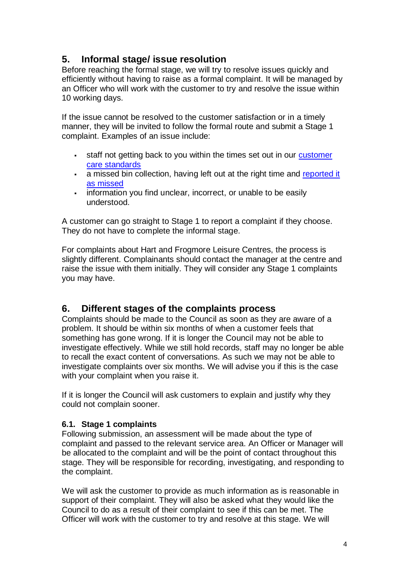# <span id="page-3-0"></span>**5. Informal stage/ issue resolution**

Before reaching the formal stage, we will try to resolve issues quickly and efficiently without having to raise as a formal complaint. It will be managed by an Officer who will work with the customer to try and resolve the issue within 10 working days.

If the issue cannot be resolved to the customer satisfaction or in a timely manner, they will be invited to follow the formal route and submit a Stage 1 complaint. Examples of an issue include:

- staff not getting back to you within the times set out in our customer [care standards](https://www.hart.gov.uk/customer-care-standards-0)
- **Example 2** a missed bin collection, having left out at the right time and reported it [as missed](https://www.basingstoke.gov.uk/missedcollection-hart)
- information you find unclear, incorrect, or unable to be easily understood.

A customer can go straight to Stage 1 to report a complaint if they choose. They do not have to complete the informal stage.

For complaints about Hart and Frogmore Leisure Centres, the process is slightly different. Complainants should contact the manager at the centre and raise the issue with them initially. They will consider any Stage 1 complaints you may have.

# <span id="page-3-1"></span>**6. Different stages of the complaints process**

Complaints should be made to the Council as soon as they are aware of a problem. It should be within six months of when a customer feels that something has gone wrong. If it is longer the Council may not be able to investigate effectively. While we still hold records, staff may no longer be able to recall the exact content of conversations. As such we may not be able to investigate complaints over six months. We will advise you if this is the case with your complaint when you raise it.

If it is longer the Council will ask customers to explain and justify why they could not complain sooner.

#### <span id="page-3-2"></span>**6.1. Stage 1 complaints**

Following submission, an assessment will be made about the type of complaint and passed to the relevant service area. An Officer or Manager will be allocated to the complaint and will be the point of contact throughout this stage. They will be responsible for recording, investigating, and responding to the complaint.

We will ask the customer to provide as much information as is reasonable in support of their complaint. They will also be asked what they would like the Council to do as a result of their complaint to see if this can be met. The Officer will work with the customer to try and resolve at this stage. We will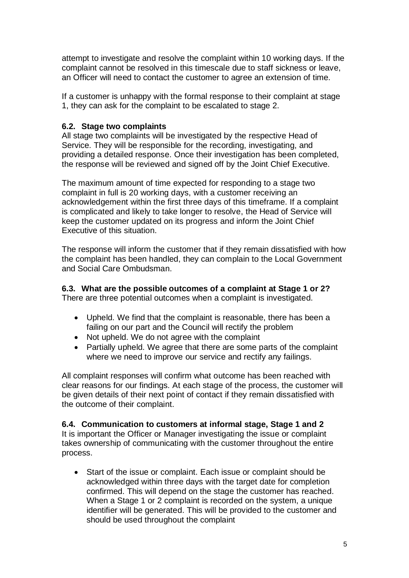attempt to investigate and resolve the complaint within 10 working days. If the complaint cannot be resolved in this timescale due to staff sickness or leave, an Officer will need to contact the customer to agree an extension of time.

If a customer is unhappy with the formal response to their complaint at stage 1, they can ask for the complaint to be escalated to stage 2.

#### <span id="page-4-0"></span>**6.2. Stage two complaints**

All stage two complaints will be investigated by the respective Head of Service. They will be responsible for the recording, investigating, and providing a detailed response. Once their investigation has been completed, the response will be reviewed and signed off by the Joint Chief Executive.

The maximum amount of time expected for responding to a stage two complaint in full is 20 working days, with a customer receiving an acknowledgement within the first three days of this timeframe. If a complaint is complicated and likely to take longer to resolve, the Head of Service will keep the customer updated on its progress and inform the Joint Chief Executive of this situation.

The response will inform the customer that if they remain dissatisfied with how the complaint has been handled, they can complain to the Local Government and Social Care Ombudsman.

#### <span id="page-4-1"></span>**6.3. What are the possible outcomes of a complaint at Stage 1 or 2?**

There are three potential outcomes when a complaint is investigated.

- Upheld. We find that the complaint is reasonable, there has been a failing on our part and the Council will rectify the problem
- Not upheld. We do not agree with the complaint
- Partially upheld. We agree that there are some parts of the complaint where we need to improve our service and rectify any failings.

All complaint responses will confirm what outcome has been reached with clear reasons for our findings. At each stage of the process, the customer will be given details of their next point of contact if they remain dissatisfied with the outcome of their complaint.

#### <span id="page-4-2"></span>**6.4. Communication to customers at informal stage, Stage 1 and 2**

It is important the Officer or Manager investigating the issue or complaint takes ownership of communicating with the customer throughout the entire process.

• Start of the issue or complaint. Each issue or complaint should be acknowledged within three days with the target date for completion confirmed. This will depend on the stage the customer has reached. When a Stage 1 or 2 complaint is recorded on the system, a unique identifier will be generated. This will be provided to the customer and should be used throughout the complaint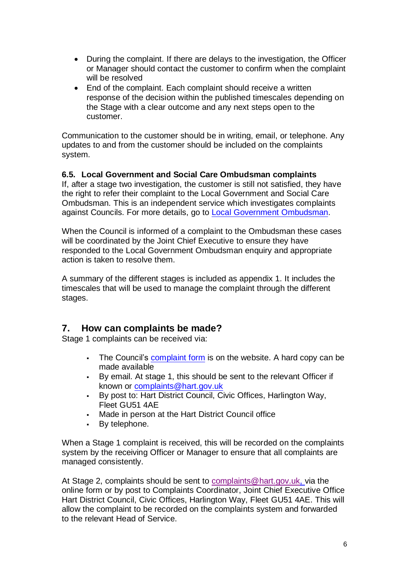- During the complaint. If there are delays to the investigation, the Officer or Manager should contact the customer to confirm when the complaint will be resolved
- End of the complaint. Each complaint should receive a written response of the decision within the published timescales depending on the Stage with a clear outcome and any next steps open to the customer.

Communication to the customer should be in writing, email, or telephone. Any updates to and from the customer should be included on the complaints system.

#### <span id="page-5-0"></span>**6.5. Local Government and Social Care Ombudsman complaints**

If, after a stage two investigation, the customer is still not satisfied, they have the right to refer their complaint to the Local Government and Social Care Ombudsman. This is an independent service which investigates complaints against Councils. For more details, go to [Local Government Ombudsman.](http://www.lgo.org.uk/)

When the Council is informed of a complaint to the Ombudsman these cases will be coordinated by the Joint Chief Executive to ensure they have responded to the Local Government Ombudsman enquiry and appropriate action is taken to resolve them.

A summary of the different stages is included as appendix 1. It includes the timescales that will be used to manage the complaint through the different stages.

# <span id="page-5-1"></span>**7. How can complaints be made?**

Stage 1 complaints can be received via:

- The Council's [complaint form](https://www.hart.gov.uk/complaints-form) is on the website. A hard copy can be made available
- By email. At stage 1, this should be sent to the relevant Officer if known or [complaints@hart.gov.uk](mailto:complaints@hart.gov.uk)
- By post to: Hart District Council, Civic Offices, Harlington Way, Fleet GU51 4AE
- Made in person at the Hart District Council office
- By telephone.

When a Stage 1 complaint is received, this will be recorded on the complaints system by the receiving Officer or Manager to ensure that all complaints are managed consistently.

At Stage 2, complaints should be sent to [complaints@hart.gov.uk,](mailto:complaints@hart.gov.uk) via the online form or by post to Complaints Coordinator, Joint Chief Executive Office Hart District Council, Civic Offices, Harlington Way, Fleet GU51 4AE. This will allow the complaint to be recorded on the complaints system and forwarded to the relevant Head of Service.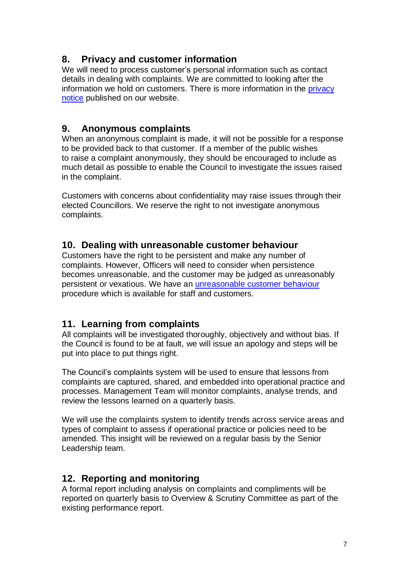## <span id="page-6-0"></span>**8. Privacy and customer information**

We will need to process customer's personal information such as contact details in dealing with complaints. We are committed to looking after the information we hold on customers. There is more information in the [privacy](https://www.hart.gov.uk/privacy)  [notice](https://www.hart.gov.uk/privacy) published on our website.

### <span id="page-6-1"></span>**9. Anonymous complaints**

When an anonymous complaint is made, it will not be possible for a response to be provided back to that customer. If a member of the public wishes to raise a complaint anonymously, they should be encouraged to include as much detail as possible to enable the Council to investigate the issues raised in the complaint.

Customers with concerns about confidentiality may raise issues through their elected Councillors. We reserve the right to not investigate anonymous complaints.

### <span id="page-6-2"></span>**10. Dealing with unreasonable customer behaviour**

Customers have the right to be persistent and make any number of complaints. However, Officers will need to consider when persistence becomes unreasonable, and the customer may be judged as unreasonably persistent or vexatious. We have an [unreasonable customer behaviour](https://www.hart.gov.uk/sites/default/files/4_The_Council/Policies_and_published_documents/Corporate_policies/Complaints%20Procedure.pdf) procedure which is available for staff and customers.

### <span id="page-6-3"></span>**11. Learning from complaints**

All complaints will be investigated thoroughly, objectively and without bias. If the Council is found to be at fault, we will issue an apology and steps will be put into place to put things right.

The Council's complaints system will be used to ensure that lessons from complaints are captured, shared, and embedded into operational practice and processes. Management Team will monitor complaints, analyse trends, and review the lessons learned on a quarterly basis.

We will use the complaints system to identify trends across service areas and types of complaint to assess if operational practice or policies need to be amended. This insight will be reviewed on a regular basis by the Senior Leadership team.

# <span id="page-6-4"></span>**12. Reporting and monitoring**

A formal report including analysis on complaints and compliments will be reported on quarterly basis to Overview & Scrutiny Committee as part of the existing performance report.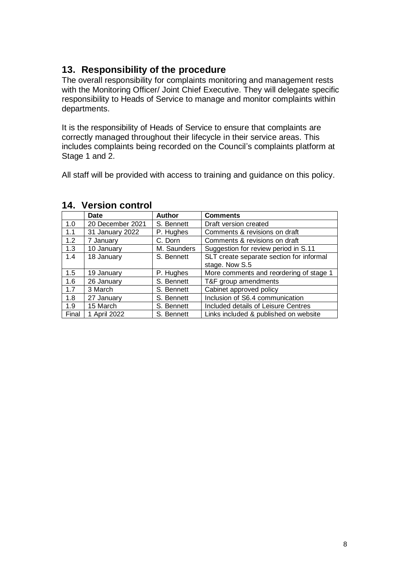# <span id="page-7-0"></span>**13. Responsibility of the procedure**

The overall responsibility for complaints monitoring and management rests with the Monitoring Officer/ Joint Chief Executive. They will delegate specific responsibility to Heads of Service to manage and monitor complaints within departments.

It is the responsibility of Heads of Service to ensure that complaints are correctly managed throughout their lifecycle in their service areas. This includes complaints being recorded on the Council's complaints platform at Stage 1 and 2.

All staff will be provided with access to training and guidance on this policy.

|       | Date             | <b>Author</b> | <b>Comments</b>                          |
|-------|------------------|---------------|------------------------------------------|
| 1.0   | 20 December 2021 | S. Bennett    | Draft version created                    |
| 1.1   | 31 January 2022  | P. Hughes     | Comments & revisions on draft            |
| 1.2   | 7 January        | C. Dorn       | Comments & revisions on draft            |
| 1.3   | 10 January       | M. Saunders   | Suggestion for review period in S.11     |
| 1.4   | 18 January       | S. Bennett    | SLT create separate section for informal |
|       |                  |               | stage. Now S.5                           |
| 1.5   | 19 January       | P. Hughes     | More comments and reordering of stage 1  |
| 1.6   | 26 January       | S. Bennett    | T&F group amendments                     |
| 1.7   | 3 March          | S. Bennett    | Cabinet approved policy                  |
| 1.8   | 27 January       | S. Bennett    | Inclusion of S6.4 communication          |
| 1.9   | 15 March         | S. Bennett    | Included details of Leisure Centres      |
| Final | 1 April 2022     | S. Bennett    | Links included & published on website    |

#### <span id="page-7-1"></span>**14. Version control**